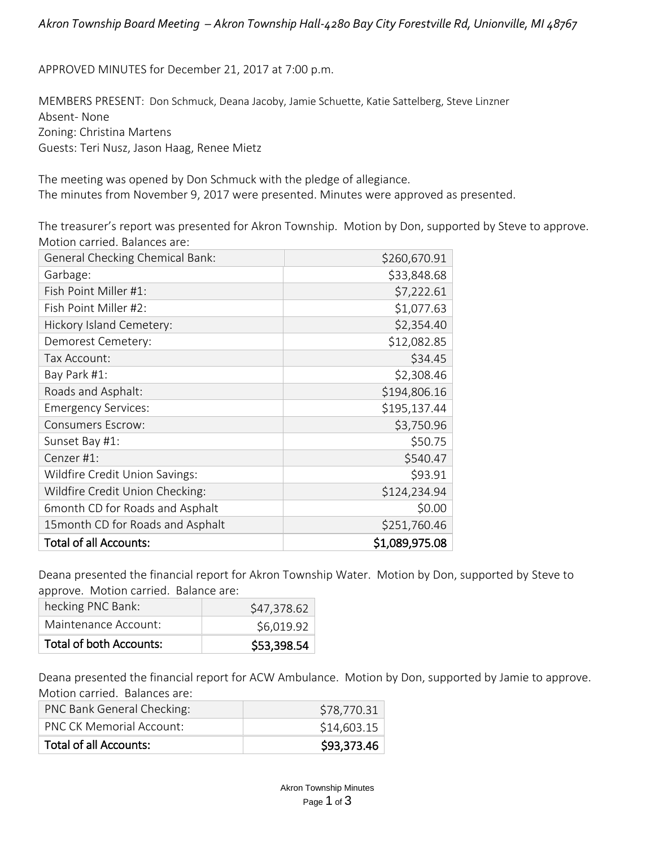APPROVED MINUTES for December 21, 2017 at 7:00 p.m.

MEMBERS PRESENT: Don Schmuck, Deana Jacoby, Jamie Schuette, Katie Sattelberg, Steve Linzner Absent- None Zoning: Christina Martens Guests: Teri Nusz, Jason Haag, Renee Mietz

The meeting was opened by Don Schmuck with the pledge of allegiance. The minutes from November 9, 2017 were presented. Minutes were approved as presented.

The treasurer's report was presented for Akron Township. Motion by Don, supported by Steve to approve. Motion carried. Balances are:

| <b>General Checking Chemical Bank:</b> | \$260,670.91   |
|----------------------------------------|----------------|
| Garbage:                               | \$33,848.68    |
| Fish Point Miller #1:                  | \$7,222.61     |
| Fish Point Miller #2:                  | \$1,077.63     |
| Hickory Island Cemetery:               | \$2,354.40     |
| Demorest Cemetery:                     | \$12,082.85    |
| Tax Account:                           | \$34.45        |
| Bay Park #1:                           | \$2,308.46     |
| Roads and Asphalt:                     | \$194,806.16   |
| <b>Emergency Services:</b>             | \$195,137.44   |
| <b>Consumers Escrow:</b>               | \$3,750.96     |
| Sunset Bay #1:                         | \$50.75        |
| Cenzer #1:                             | \$540.47       |
| Wildfire Credit Union Savings:         | \$93.91        |
| Wildfire Credit Union Checking:        | \$124,234.94   |
| 6month CD for Roads and Asphalt        | \$0.00         |
| 15 month CD for Roads and Asphalt      | \$251,760.46   |
| <b>Total of all Accounts:</b>          | \$1,089,975.08 |

Deana presented the financial report for Akron Township Water. Motion by Don, supported by Steve to approve. Motion carried. Balance are:

| Total of both Accounts: | \$53,398.54 |
|-------------------------|-------------|
| Maintenance Account:    | \$6,019.92  |
| hecking PNC Bank:       | \$47,378.62 |

Deana presented the financial report for ACW Ambulance. Motion by Don, supported by Jamie to approve. Motion carried. Balances are:

| PNC Bank General Checking:      | \$78,770.31 |
|---------------------------------|-------------|
| <b>PNC CK Memorial Account:</b> | \$14,603.15 |
| <b>Total of all Accounts:</b>   | \$93,373.46 |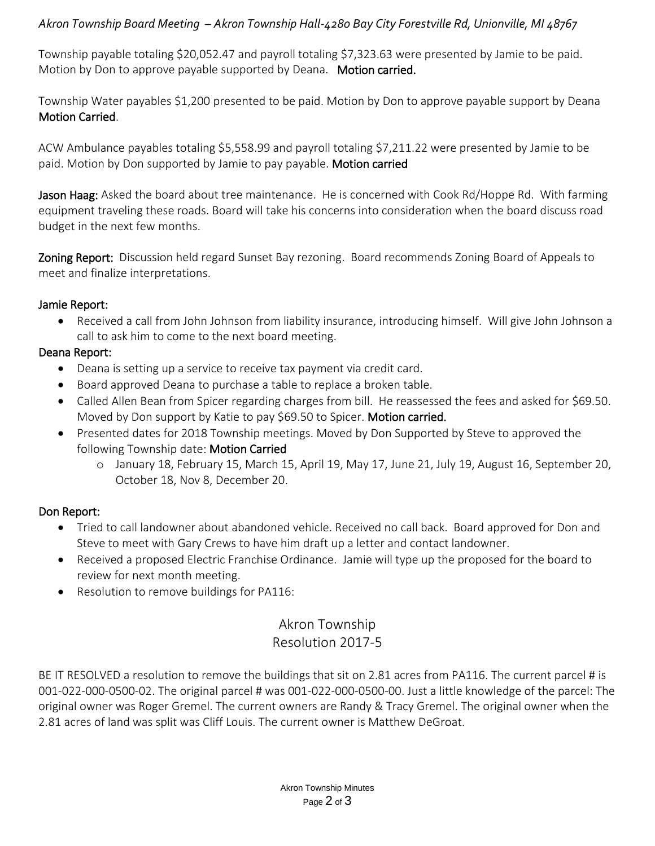# *Akron Township Board Meeting – Akron Township Hall-4280 Bay City Forestville Rd, Unionville, MI 48767*

Township payable totaling \$20,052.47 and payroll totaling \$7,323.63 were presented by Jamie to be paid. Motion by Don to approve payable supported by Deana. Motion carried.

Township Water payables \$1,200 presented to be paid. Motion by Don to approve payable support by Deana Motion Carried.

ACW Ambulance payables totaling \$5,558.99 and payroll totaling \$7,211.22 were presented by Jamie to be paid. Motion by Don supported by Jamie to pay payable. Motion carried

Jason Haag: Asked the board about tree maintenance. He is concerned with Cook Rd/Hoppe Rd. With farming equipment traveling these roads. Board will take his concerns into consideration when the board discuss road budget in the next few months.

Zoning Report: Discussion held regard Sunset Bay rezoning. Board recommends Zoning Board of Appeals to meet and finalize interpretations.

### Jamie Report:

• Received a call from John Johnson from liability insurance, introducing himself. Will give John Johnson a call to ask him to come to the next board meeting.

### Deana Report:

- Deana is setting up a service to receive tax payment via credit card.
- Board approved Deana to purchase a table to replace a broken table.
- Called Allen Bean from Spicer regarding charges from bill. He reassessed the fees and asked for \$69.50. Moved by Don support by Katie to pay \$69.50 to Spicer. Motion carried.
- Presented dates for 2018 Township meetings. Moved by Don Supported by Steve to approved the following Township date: Motion Carried
	- o January 18, February 15, March 15, April 19, May 17, June 21, July 19, August 16, September 20, October 18, Nov 8, December 20.

# Don Report:

- Tried to call landowner about abandoned vehicle. Received no call back. Board approved for Don and Steve to meet with Gary Crews to have him draft up a letter and contact landowner.
- Received a proposed Electric Franchise Ordinance. Jamie will type up the proposed for the board to review for next month meeting.
- Resolution to remove buildings for PA116:

# Akron Township

# Resolution 2017-5

BE IT RESOLVED a resolution to remove the buildings that sit on 2.81 acres from PA116. The current parcel # is 001-022-000-0500-02. The original parcel # was 001-022-000-0500-00. Just a little knowledge of the parcel: The original owner was Roger Gremel. The current owners are Randy & Tracy Gremel. The original owner when the 2.81 acres of land was split was Cliff Louis. The current owner is Matthew DeGroat.